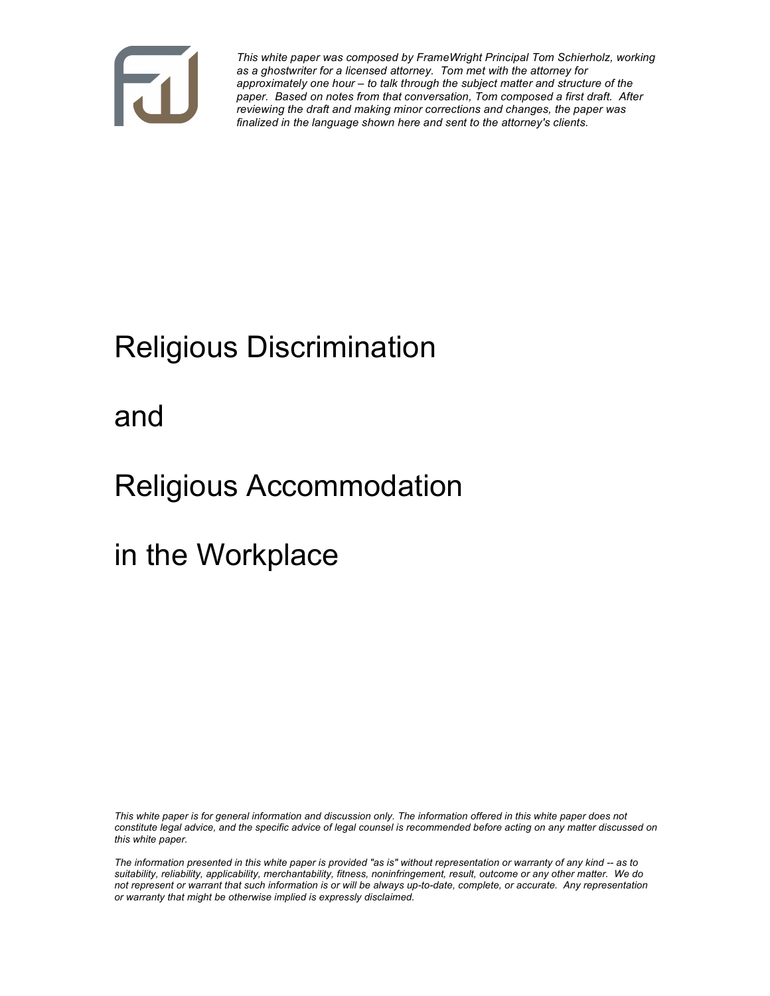

*This white paper was composed by FrameWright Principal Tom Schierholz, working as a ghostwriter for a licensed attorney. Tom met with the attorney for approximately one hour – to talk through the subject matter and structure of the paper. Based on notes from that conversation, Tom composed a first draft. After reviewing the draft and making minor corrections and changes, the paper was finalized in the language shown here and sent to the attorney's clients.*

# Religious Discrimination

and

## Religious Accommodation

in the Workplace

*This white paper is for general information and discussion only. The information offered in this white paper does not constitute legal advice, and the specific advice of legal counsel is recommended before acting on any matter discussed on this white paper.*

*The information presented in this white paper is provided "as is" without representation or warranty of any kind -- as to suitability, reliability, applicability, merchantability, fitness, noninfringement, result, outcome or any other matter. We do not represent or warrant that such information is or will be always up-to-date, complete, or accurate. Any representation or warranty that might be otherwise implied is expressly disclaimed.*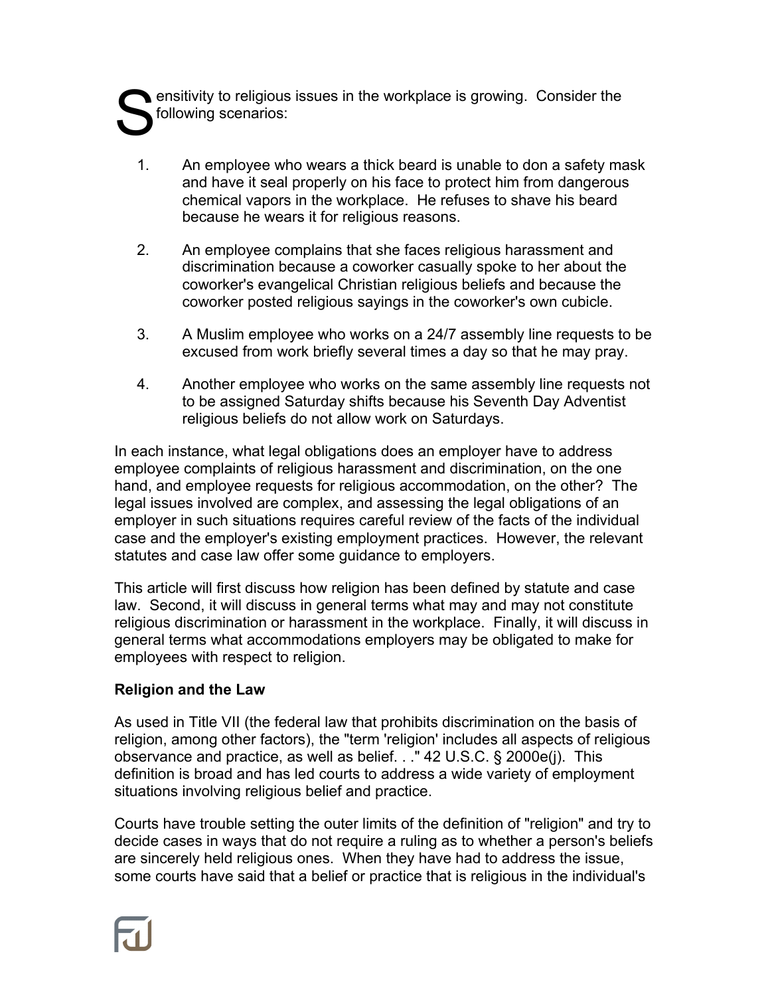ensitivity to religious issues in the workplace is growing. Consider the following scenarios: S

- 1. An employee who wears a thick beard is unable to don a safety mask and have it seal properly on his face to protect him from dangerous chemical vapors in the workplace. He refuses to shave his beard because he wears it for religious reasons.
- 2. An employee complains that she faces religious harassment and discrimination because a coworker casually spoke to her about the coworker's evangelical Christian religious beliefs and because the coworker posted religious sayings in the coworker's own cubicle.
- 3. A Muslim employee who works on a 24/7 assembly line requests to be excused from work briefly several times a day so that he may pray.
- 4. Another employee who works on the same assembly line requests not to be assigned Saturday shifts because his Seventh Day Adventist religious beliefs do not allow work on Saturdays.

In each instance, what legal obligations does an employer have to address employee complaints of religious harassment and discrimination, on the one hand, and employee requests for religious accommodation, on the other? The legal issues involved are complex, and assessing the legal obligations of an employer in such situations requires careful review of the facts of the individual case and the employer's existing employment practices. However, the relevant statutes and case law offer some guidance to employers.

This article will first discuss how religion has been defined by statute and case law. Second, it will discuss in general terms what may and may not constitute religious discrimination or harassment in the workplace. Finally, it will discuss in general terms what accommodations employers may be obligated to make for employees with respect to religion.

## **Religion and the Law**

As used in Title VII (the federal law that prohibits discrimination on the basis of religion, among other factors), the "term 'religion' includes all aspects of religious observance and practice, as well as belief. . ." 42 U.S.C. § 2000e(j). This definition is broad and has led courts to address a wide variety of employment situations involving religious belief and practice.

Courts have trouble setting the outer limits of the definition of "religion" and try to decide cases in ways that do not require a ruling as to whether a person's beliefs are sincerely held religious ones. When they have had to address the issue, some courts have said that a belief or practice that is religious in the individual's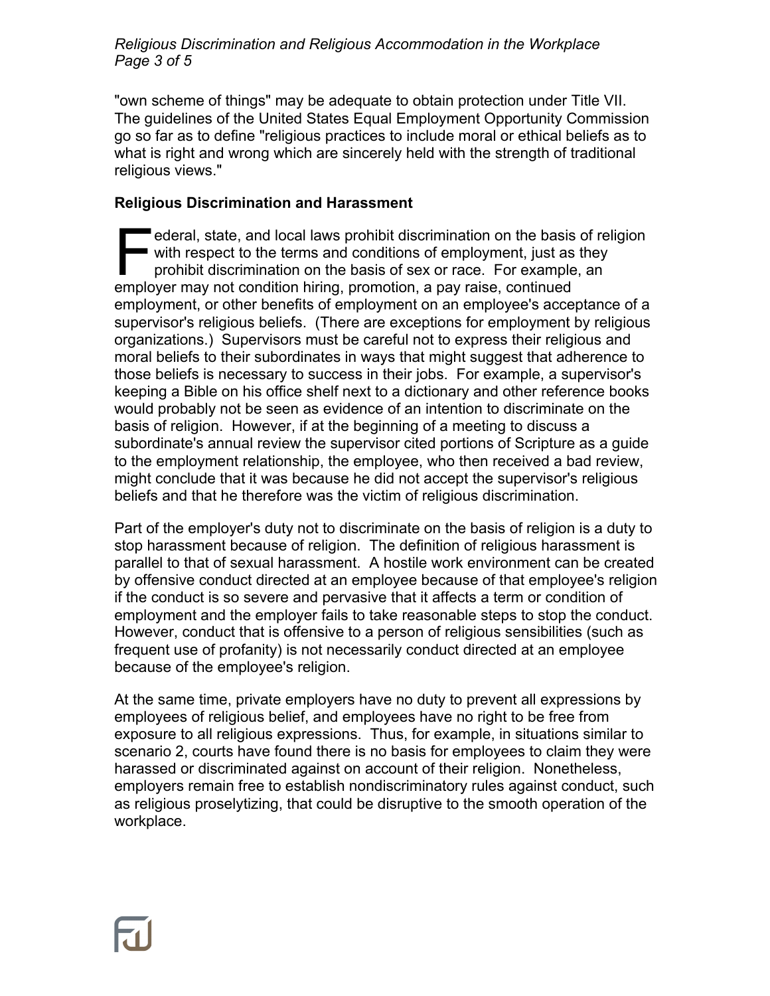*Religious Discrimination and Religious Accommodation in the Workplace Page 3 of 5*

"own scheme of things" may be adequate to obtain protection under Title VII. The guidelines of the United States Equal Employment Opportunity Commission go so far as to define "religious practices to include moral or ethical beliefs as to what is right and wrong which are sincerely held with the strength of traditional religious views."

#### **Religious Discrimination and Harassment**

ederal, state, and local laws prohibit discrimination on the basis of religion with respect to the terms and conditions of employment, just as they prohibit discrimination on the basis of sex or race. For example, an ederal, state, and local laws prohibit discrimination on the basis<br>with respect to the terms and conditions of employment, just as<br>prohibit discrimination on the basis of sex or race. For example<br>employer may not condition employment, or other benefits of employment on an employee's acceptance of a supervisor's religious beliefs. (There are exceptions for employment by religious organizations.) Supervisors must be careful not to express their religious and moral beliefs to their subordinates in ways that might suggest that adherence to those beliefs is necessary to success in their jobs. For example, a supervisor's keeping a Bible on his office shelf next to a dictionary and other reference books would probably not be seen as evidence of an intention to discriminate on the basis of religion. However, if at the beginning of a meeting to discuss a subordinate's annual review the supervisor cited portions of Scripture as a guide to the employment relationship, the employee, who then received a bad review, might conclude that it was because he did not accept the supervisor's religious beliefs and that he therefore was the victim of religious discrimination.

Part of the employer's duty not to discriminate on the basis of religion is a duty to stop harassment because of religion. The definition of religious harassment is parallel to that of sexual harassment. A hostile work environment can be created by offensive conduct directed at an employee because of that employee's religion if the conduct is so severe and pervasive that it affects a term or condition of employment and the employer fails to take reasonable steps to stop the conduct. However, conduct that is offensive to a person of religious sensibilities (such as frequent use of profanity) is not necessarily conduct directed at an employee because of the employee's religion.

At the same time, private employers have no duty to prevent all expressions by employees of religious belief, and employees have no right to be free from exposure to all religious expressions. Thus, for example, in situations similar to scenario 2, courts have found there is no basis for employees to claim they were harassed or discriminated against on account of their religion. Nonetheless, employers remain free to establish nondiscriminatory rules against conduct, such as religious proselytizing, that could be disruptive to the smooth operation of the workplace.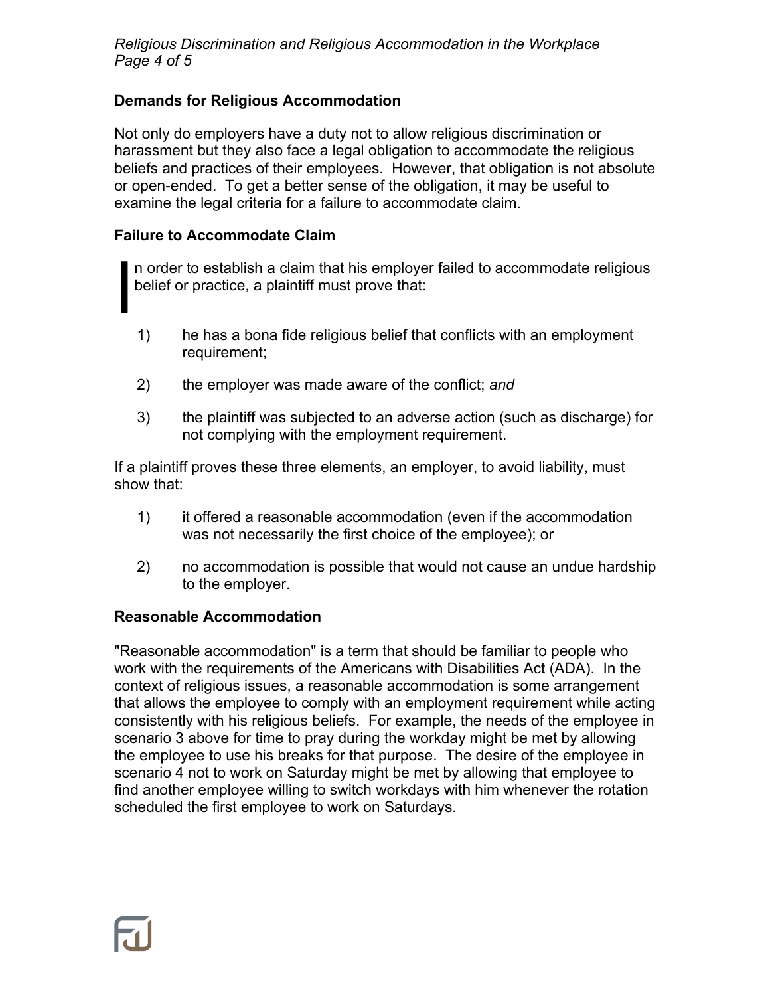*Religious Discrimination and Religious Accommodation in the Workplace Page 4 of 5*

## **Demands for Religious Accommodation**

Not only do employers have a duty not to allow religious discrimination or harassment but they also face a legal obligation to accommodate the religious beliefs and practices of their employees. However, that obligation is not absolute or open-ended. To get a better sense of the obligation, it may be useful to examine the legal criteria for a failure to accommodate claim.

#### **Failure to Accommodate Claim**

I

n order to establish a claim that his employer failed to accommodate religious belief or practice, a plaintiff must prove that:

- 1) he has a bona fide religious belief that conflicts with an employment requirement;
- 2) the employer was made aware of the conflict; *and*
- 3) the plaintiff was subjected to an adverse action (such as discharge) for not complying with the employment requirement.

If a plaintiff proves these three elements, an employer, to avoid liability, must show that:

- 1) it offered a reasonable accommodation (even if the accommodation was not necessarily the first choice of the employee); or
- 2) no accommodation is possible that would not cause an undue hardship to the employer.

#### **Reasonable Accommodation**

"Reasonable accommodation" is a term that should be familiar to people who work with the requirements of the Americans with Disabilities Act (ADA). In the context of religious issues, a reasonable accommodation is some arrangement that allows the employee to comply with an employment requirement while acting consistently with his religious beliefs. For example, the needs of the employee in scenario 3 above for time to pray during the workday might be met by allowing the employee to use his breaks for that purpose. The desire of the employee in scenario 4 not to work on Saturday might be met by allowing that employee to find another employee willing to switch workdays with him whenever the rotation scheduled the first employee to work on Saturdays.